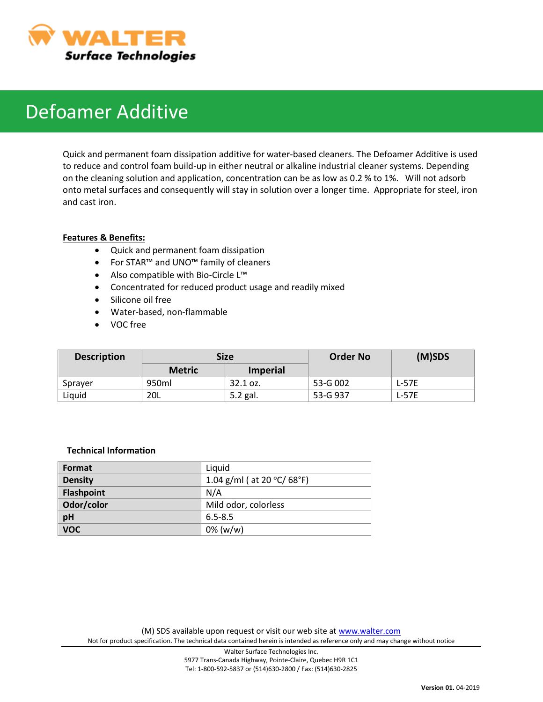

# Defoamer Additive

Quick and permanent foam dissipation additive for water-based cleaners. The Defoamer Additive is used to reduce and control foam build-up in either neutral or alkaline industrial cleaner systems. Depending on the cleaning solution and application, concentration can be as low as 0.2 % to 1%. Will not adsorb onto metal surfaces and consequently will stay in solution over a longer time. Appropriate for steel, iron and cast iron.

## **Features & Benefits:**

- Quick and permanent foam dissipation
- For STAR™ and UNO™ family of cleaners
- Also compatible with Bio-Circle L™
- Concentrated for reduced product usage and readily mixed
- Silicone oil free
- Water-based, non-flammable
- VOC free

| <b>Description</b> | Size          |                 | <b>Order No</b> | $(M)$ SDS    |
|--------------------|---------------|-----------------|-----------------|--------------|
|                    | <b>Metric</b> | <b>Imperial</b> |                 |              |
| Sprayer            | 950ml         | $32.1$ oz.      | 53-G 002        | <b>L-57E</b> |
| Liquid             | 20L           | 5.2 gal.        | 53-G 937        | <b>L-57E</b> |

#### **Technical Information**

| Format            | Liquid                                           |
|-------------------|--------------------------------------------------|
| <b>Density</b>    | 1.04 g/ml ( at 20 $^{\circ}$ C/ 68 $^{\circ}$ F) |
| <b>Flashpoint</b> | N/A                                              |
| Odor/color        | Mild odor, colorless                             |
| pH                | $6.5 - 8.5$                                      |
| <b>VOC</b>        | $0\%$ (w/w)                                      |

(M) SDS available upon request or visit our web site at [www.walter.com](http://www.walter.com/) Not for product specification. The technical data contained herein is intended as reference only and may change without notice